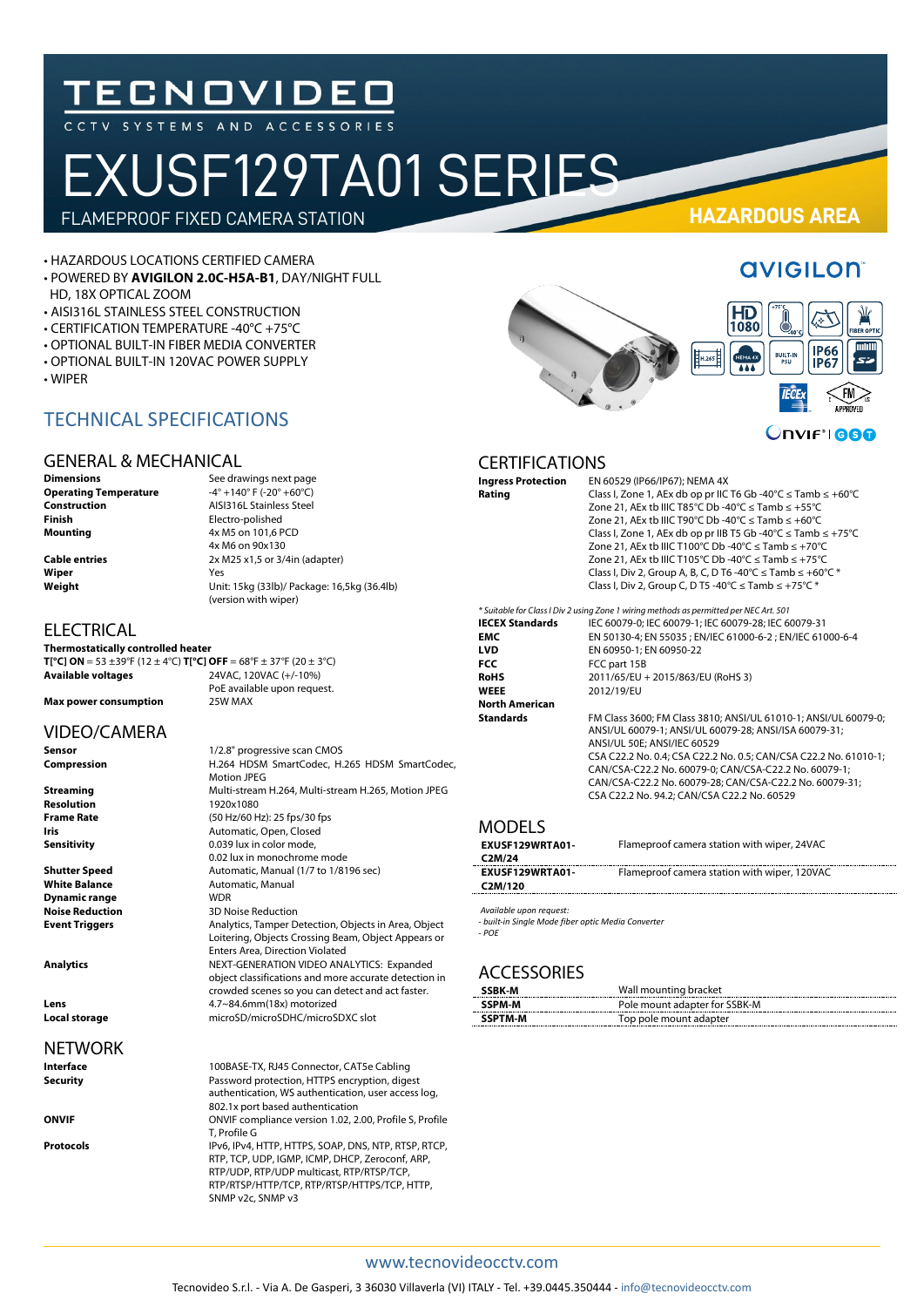# **TECNOVIDEO**

## EXUSF129TA01 SERIES FLAMEPROOF FIXED CAMERA STATION **HAZARDOUS AREA**

• HAZARDOUS LOCATIONS CERTIFIED CAMERA

- POWERED BY **AVIGILON 2.0C-H5A-B1**, DAY/NIGHT FULL
- HD, 18X OPTICAL ZOOM
- AISI316L STAINLESS STEEL CONSTRUCTION
- CERTIFICATION TEMPERATURE -40°C +75°C
- OPTIONAL BUILT-IN FIBER MEDIA CONVERTER
- OPTIONAL BUILT-IN 120VAC POWER SUPPLY

TECHNICAL SPECIFICATIONS

• WIPER

HD<br>1080 **BUILT-II AAA IFCE** 



**Onvift 660** 

#### CERTIFICATIONS

| <b>Ingress Protection</b> | EN 60529 (IP66/IP67); NEMA 4X                                                                                                                                                                                                                                                                                                                                                                                                                                                                                                        |
|---------------------------|--------------------------------------------------------------------------------------------------------------------------------------------------------------------------------------------------------------------------------------------------------------------------------------------------------------------------------------------------------------------------------------------------------------------------------------------------------------------------------------------------------------------------------------|
| Rating                    | Class I, Zone 1, AEx db op pr IIC T6 Gb -40°C $\leq$ Tamb $\leq$ +60°C<br>Zone 21, AEx tb IIIC T85°C Db -40°C $\le$ Tamb $\le$ +55°C<br>Zone 21, AEx tb IIIC T90°C Db -40°C $\le$ Tamb $\le$ +60°C<br>Class I, Zone 1, AEx db op pr IIB T5 Gb -40°C $\leq$ Tamb $\leq$ +75°C<br>Zone 21, AEx tb IIIC T100°C Db -40°C ≤ Tamb ≤ +70°C<br>Zone 21, AEx tb IIIC T105°C Db -40°C ≤ Tamb ≤ +75°C<br>Class I, Div 2, Group A, B, C, D T6 -40°C $\le$ Tamb $\le$ +60°C $*$<br>Class I, Div 2, Group C, D T5 -40°C $\le$ Tamb $\le$ +75°C $*$ |
|                           | * Suitable for Class I Div 2 using Zone 1 wiring methods as permitted per NEC Art. 501                                                                                                                                                                                                                                                                                                                                                                                                                                               |
| <b>IECEX Standards</b>    | IEC 60079-0; IEC 60079-1; IEC 60079-28; IEC 60079-31                                                                                                                                                                                                                                                                                                                                                                                                                                                                                 |
| <b>EMC</b>                | EN 50130-4; EN 55035 ; EN/IEC 61000-6-2 ; EN/IEC 61000-6-4                                                                                                                                                                                                                                                                                                                                                                                                                                                                           |
| <b>LVD</b>                | EN 60950-1; EN 60950-22                                                                                                                                                                                                                                                                                                                                                                                                                                                                                                              |
| <b>FCC</b>                | FCC part 15B                                                                                                                                                                                                                                                                                                                                                                                                                                                                                                                         |
| <b>RoHS</b>               | 2011/65/EU + 2015/863/EU (RoHS 3)                                                                                                                                                                                                                                                                                                                                                                                                                                                                                                    |
| <b>WEEE</b>               | 2012/19/EU                                                                                                                                                                                                                                                                                                                                                                                                                                                                                                                           |
| <b>North American</b>     |                                                                                                                                                                                                                                                                                                                                                                                                                                                                                                                                      |
| <b>Standards</b>          | FM Class 3600; FM Class 3810; ANSI/UL 61010-1; ANSI/UL 60079-0;<br>ANSI/UL 60079-1; ANSI/UL 60079-28; ANSI/ISA 60079-31;<br>ANSI/UL 50E; ANSI/IEC 60529<br>CSA C22.2 No. 0.4; CSA C22.2 No. 0.5; CAN/CSA C22.2 No. 61010-1;<br>CAN/CSA-C22.2 No. 60079-0; CAN/CSA-C22.2 No. 60079-1;                                                                                                                                                                                                                                                 |
|                           | CAN/CSA-C22.2 No. 60079-28; CAN/CSA-C22.2 No. 60079-31;<br>CSA C22.2 No. 94.2; CAN/CSA C22.2 No. 60529                                                                                                                                                                                                                                                                                                                                                                                                                               |

#### MODELS

| EXUSF129WRTA01-                 | Flameproof camera station with wiper, 24VAC  |  |  |
|---------------------------------|----------------------------------------------|--|--|
| C <sub>2</sub> M/ <sub>24</sub> |                                              |  |  |
| EXUSF129WRTA01-                 | Flameproof camera station with wiper, 120VAC |  |  |
| C <sub>2</sub> M/120            |                                              |  |  |
|                                 |                                              |  |  |

*Available upon request:* 

*- built-in Single Mode fiber optic Media Converter*

*- POE*

#### **ACCESSORIES**

| SSBK-M         | Wall mounting bracket         |
|----------------|-------------------------------|
| <b>SSPM-M</b>  | Pole mount adapter for SSBK-M |
| <b>SSPTM-M</b> | Top pole mount adapter        |

#### GENERAL & MECHANICAL

**Operating Temperature**<br>Construction **Construction**<br> **Construction**<br> **Clectro-polished**<br> **Clectro-polished Finish**<br> **Mounting**<br>  $4x M5$  on 101,6 F

**Dimensions** See drawings next page<br> **Operating Temperature**  $-4^{\circ} +140^{\circ}$  F (-20<sup>°</sup> +60<sup>°</sup>C) **Mounting** 4x M5 on 101,6 PCD 4x M6 on 90x130 **Cable entries** 2x M25 x1,5 or 3/4in (adapter) **Wiper** Yes **Weight** Unit: 15kg (33lb)/ Package: 16,5kg (36.4lb) (version with wiper)

**ELECTRICAL** 

**Thermostatically controlled heater**

**T[°C] ON** = 53  $\pm 39^\circ$ F (12  $\pm 4^\circ$ C) **T[°C] OFF** = 68°F  $\pm 37^\circ$ F (20  $\pm 3^\circ$ C)<br>**Available voltages** 24VAC, 120VAC (+/-10%) **Available voltages** 24VAC, 120VAC (+/-10%) PoE available upon request.<br>25W MAX **Max power consumption** 

Motion JPEG

0.039 lux in color mode, 0.02 lux in monochrome mode

Enters Area, Direction Violated

**Automatic, Manual<br>WDR** 

SNMP v2c, SNMP v3

#### VIDEO/CAMERA

**Sensor** 1/2.8" progressive scan CMOS **Compression** H.264 HDSM SmartCodec, H.265 HDSM SmartCodec,

**Streaming** Multi-stream H.264, Multi-stream H.265, Motion JPEG **Resolution** 1920x1080 **Frame Rate** (50 Hz/60 Hz): 25 fps/30 fps<br>**Iris Automatic Onen Closed Iris Iris Automatic, Open, Closed**<br>**Sensitivity** 0.039 lux in color mode,

**Shutter Speed Automatic, Manual (1/7 to 1/8196 sec)**<br> **White Balance Automatic, Manual Dynamic range<br>Noise Reduction Noise Reduction** 3D Noise Reduction<br> **Event Triggers** Analytics, Tamper D.

**Analytics** NEXT-GENERATION VIDEO ANALYTICS: Expanded

**Lens** 4.7~84.6mm(18x) motorized

#### **NETWORK**

**Local storage** microSD/microSDHC/microSDXC slot **Interface** 100BASE-TX, RJ45 Connector, CAT5e Cabling<br>**Security** Password protection, HTTPS encryption, dige Password protection, HTTPS encryption, digest authentication, WS authentication, user access log,

802.1x port based authentication **ONVIF** Compliance version 1.02, 2.00, Profile S, Profile T, Profile G **Protocols** IPv6, IPv4, HTTP, HTTPS, SOAP, DNS, NTP, RTSP, RTCP, RTP, TCP, UDP, IGMP, ICMP, DHCP, Zeroconf, ARP, RTP/UDP, RTP/UDP multicast, RTP/RTSP/TCP,

RTP/RTSP/HTTP/TCP, RTP/RTSP/HTTPS/TCP, HTTP,

**Event Triggers** Analytics, Tamper Detection, Objects in Area, Object Loitering, Objects Crossing Beam, Object Appears or

object classifications and more accurate detection in crowded scenes so you can detect and act faster.

### **AVIGILON**